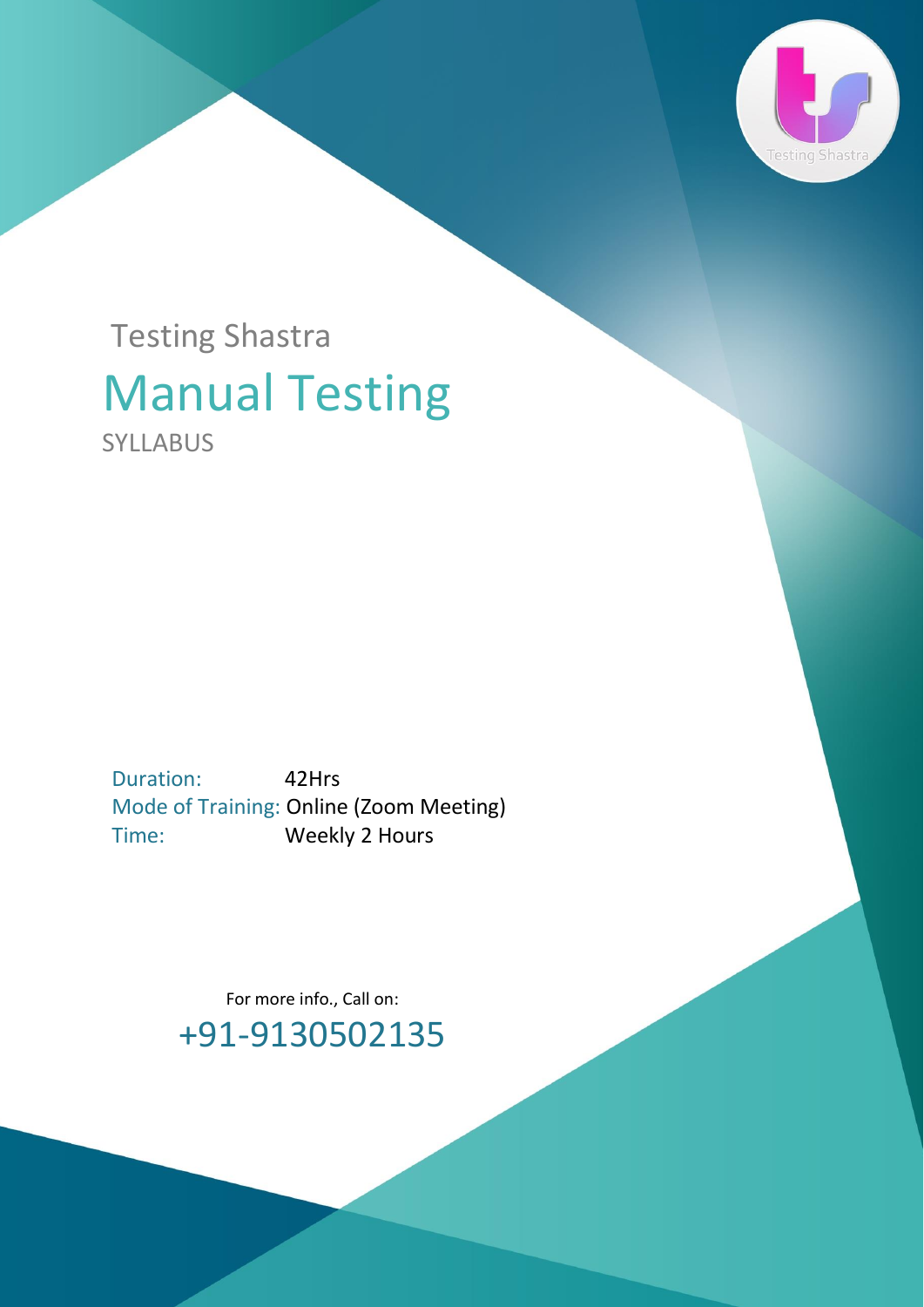

## Manual Testing SYLLABUS Testing Shastra

Duration: 42Hrs Mode of Training: Online (Zoom Meeting) Time: Weekly 2 Hours

> For more info., Call on: +91-9130502135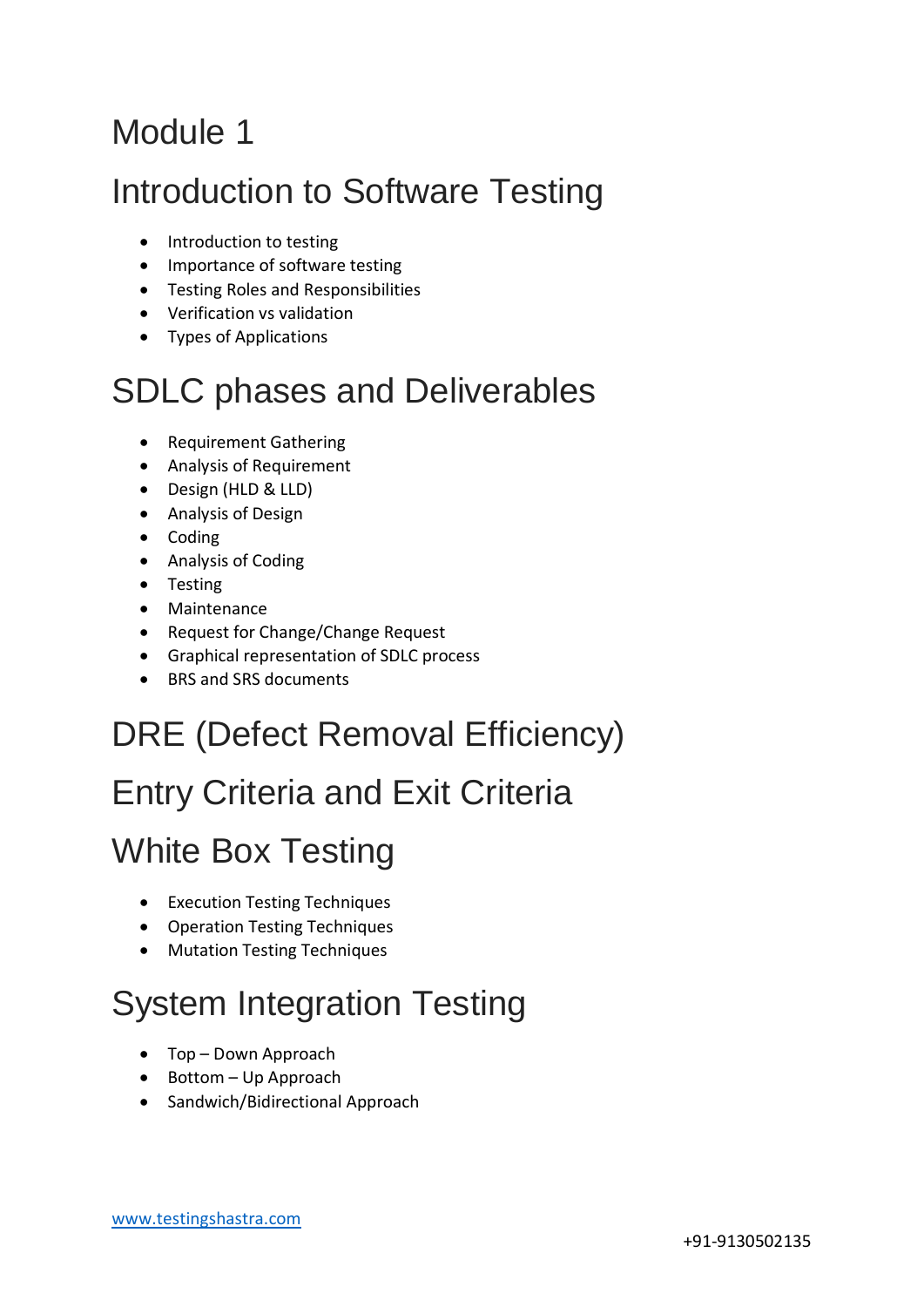#### Module 1

#### Introduction to Software Testing

- Introduction to testing
- Importance of software testing
- Testing Roles and Responsibilities
- Verification vs validation
- Types of Applications

## SDLC phases and Deliverables

- Requirement Gathering
- Analysis of Requirement
- Design (HLD & LLD)
- Analysis of Design
- Coding
- Analysis of Coding
- Testing
- Maintenance
- Request for Change/Change Request
- Graphical representation of SDLC process
- BRS and SRS documents

## DRE (Defect Removal Efficiency)

## Entry Criteria and Exit Criteria

#### White Box Testing

- Execution Testing Techniques
- Operation Testing Techniques
- Mutation Testing Techniques

## System Integration Testing

- Top Down Approach
- Bottom Up Approach
- Sandwich/Bidirectional Approach